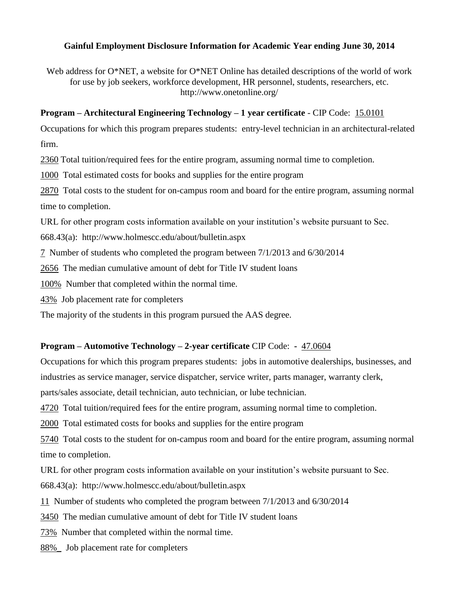### **Gainful Employment Disclosure Information for Academic Year ending June 30, 2014**

Web address for O\*NET, a website for O\*NET Online has detailed descriptions of the world of work for use by job seekers, workforce development, HR personnel, students, researchers, etc. http://www.onetonline.org/

### **Program – Architectural Engineering Technology – 1 year certificate** - CIP Code: 15.0101

Occupations for which this program prepares students: entry-level technician in an architectural-related firm.

2360 Total tuition/required fees for the entire program, assuming normal time to completion.

1000 Total estimated costs for books and supplies for the entire program

2870 Total costs to the student for on-campus room and board for the entire program, assuming normal time to completion.

URL for other program costs information available on your institution's website pursuant to Sec.

668.43(a): <http://www.holmescc.edu/about/bulletin.aspx>

7 Number of students who completed the program between 7/1/2013 and 6/30/2014

2656 The median cumulative amount of debt for Title IV student loans

100% Number that completed within the normal time.

43% Job placement rate for completers

The majority of the students in this program pursued the AAS degree.

## **Program – Automotive Technology – 2-year certificate** CIP Code: **-** 47.0604

Occupations for which this program prepares students: jobs in automotive dealerships, businesses, and industries as service manager, service dispatcher, service writer, parts manager, warranty clerk,

parts/sales associate, detail technician, auto technician, or lube technician.

4720 Total tuition/required fees for the entire program, assuming normal time to completion.

2000 Total estimated costs for books and supplies for the entire program

5740 Total costs to the student for on-campus room and board for the entire program, assuming normal time to completion.

URL for other program costs information available on your institution's website pursuant to Sec.

668.43(a): <http://www.holmescc.edu/about/bulletin.aspx>

11 Number of students who completed the program between 7/1/2013 and 6/30/2014

3450 The median cumulative amount of debt for Title IV student loans

73% Number that completed within the normal time.

88%\_ Job placement rate for completers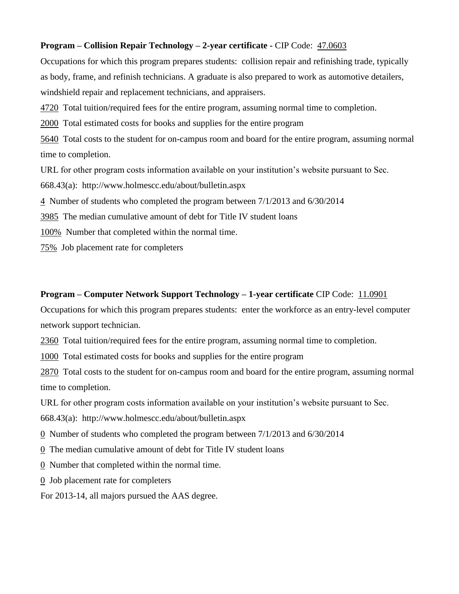### **Program – Collision Repair Technology – 2-year certificate -** CIP Code: 47.0603

Occupations for which this program prepares students: collision repair and refinishing trade, typically as body, frame, and refinish technicians. A graduate is also prepared to work as automotive detailers, windshield repair and replacement technicians, and appraisers.

4720 Total tuition/required fees for the entire program, assuming normal time to completion.

2000 Total estimated costs for books and supplies for the entire program

5640 Total costs to the student for on-campus room and board for the entire program, assuming normal time to completion.

URL for other program costs information available on your institution's website pursuant to Sec.

668.43(a): <http://www.holmescc.edu/about/bulletin.aspx>

4 Number of students who completed the program between 7/1/2013 and 6/30/2014

3985 The median cumulative amount of debt for Title IV student loans

100% Number that completed within the normal time.

75% Job placement rate for completers

### **Program – Computer Network Support Technology – 1-year certificate** CIP Code: 11.0901

Occupations for which this program prepares students: enter the workforce as an entry-level computer network support technician.

2360 Total tuition/required fees for the entire program, assuming normal time to completion.

1000 Total estimated costs for books and supplies for the entire program

2870 Total costs to the student for on-campus room and board for the entire program, assuming normal time to completion.

URL for other program costs information available on your institution's website pursuant to Sec.

668.43(a): <http://www.holmescc.edu/about/bulletin.aspx>

0 Number of students who completed the program between 7/1/2013 and 6/30/2014

0 The median cumulative amount of debt for Title IV student loans

0 Number that completed within the normal time.

0 Job placement rate for completers

For 2013-14, all majors pursued the AAS degree.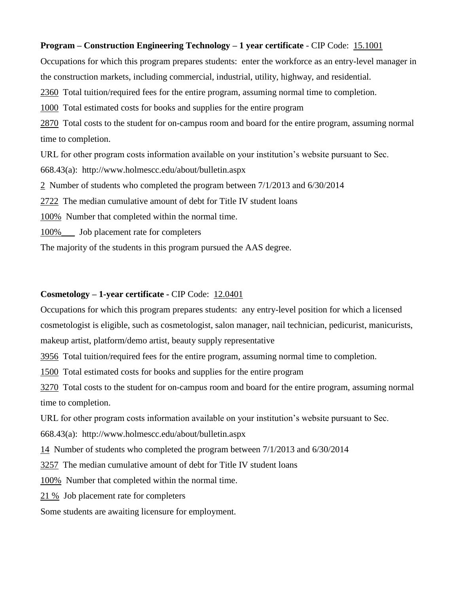#### **Program – Construction Engineering Technology – 1 year certificate** - CIP Code: 15.1001

Occupations for which this program prepares students: enter the workforce as an entry-level manager in the construction markets, including commercial, industrial, utility, highway, and residential. 2360 Total tuition/required fees for the entire program, assuming normal time to completion. 1000 Total estimated costs for books and supplies for the entire program 2870 Total costs to the student for on-campus room and board for the entire program, assuming normal time to completion. URL for other program costs information available on your institution's website pursuant to Sec.

668.43(a): <http://www.holmescc.edu/about/bulletin.aspx>

2 Number of students who completed the program between 7/1/2013 and 6/30/2014

2722 The median cumulative amount of debt for Title IV student loans

100% Number that completed within the normal time.

100% Job placement rate for completers

The majority of the students in this program pursued the AAS degree.

#### **Cosmetology – 1-year certificate -** CIP Code: 12.0401

Occupations for which this program prepares students: any entry-level position for which a licensed cosmetologist is eligible, such as cosmetologist, salon manager, nail technician, pedicurist, manicurists, makeup artist, platform/demo artist, beauty supply representative

3956 Total tuition/required fees for the entire program, assuming normal time to completion.

1500 Total estimated costs for books and supplies for the entire program

3270 Total costs to the student for on-campus room and board for the entire program, assuming normal time to completion.

URL for other program costs information available on your institution's website pursuant to Sec.

668.43(a): <http://www.holmescc.edu/about/bulletin.aspx>

14 Number of students who completed the program between 7/1/2013 and 6/30/2014

3257 The median cumulative amount of debt for Title IV student loans

100% Number that completed within the normal time.

21 % Job placement rate for completers

Some students are awaiting licensure for employment.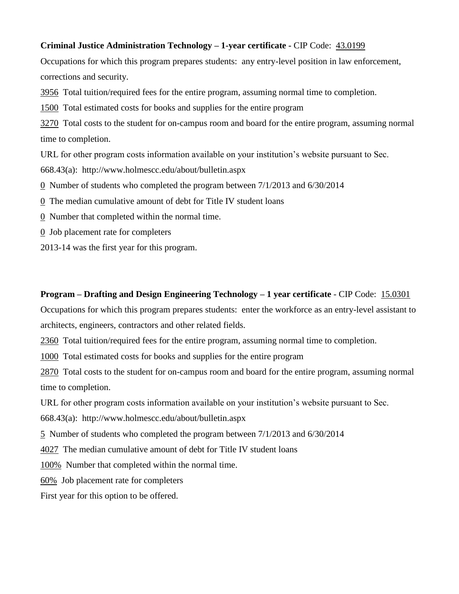### **Criminal Justice Administration Technology – 1-year certificate -** CIP Code: 43.0199

Occupations for which this program prepares students: any entry-level position in law enforcement, corrections and security.

3956 Total tuition/required fees for the entire program, assuming normal time to completion.

1500 Total estimated costs for books and supplies for the entire program

3270 Total costs to the student for on-campus room and board for the entire program, assuming normal time to completion.

URL for other program costs information available on your institution's website pursuant to Sec.

668.43(a): <http://www.holmescc.edu/about/bulletin.aspx>

0 Number of students who completed the program between 7/1/2013 and 6/30/2014

0 The median cumulative amount of debt for Title IV student loans

0 Number that completed within the normal time.

0 Job placement rate for completers

2013-14 was the first year for this program.

#### **Program – Drafting and Design Engineering Technology – 1 year certificate** - CIP Code: 15.0301

Occupations for which this program prepares students: enter the workforce as an entry-level assistant to architects, engineers, contractors and other related fields.

2360 Total tuition/required fees for the entire program, assuming normal time to completion.

1000 Total estimated costs for books and supplies for the entire program

2870 Total costs to the student for on-campus room and board for the entire program, assuming normal time to completion.

URL for other program costs information available on your institution's website pursuant to Sec.

668.43(a): <http://www.holmescc.edu/about/bulletin.aspx>

5 Number of students who completed the program between 7/1/2013 and 6/30/2014

4027 The median cumulative amount of debt for Title IV student loans

100% Number that completed within the normal time.

60% Job placement rate for completers

First year for this option to be offered.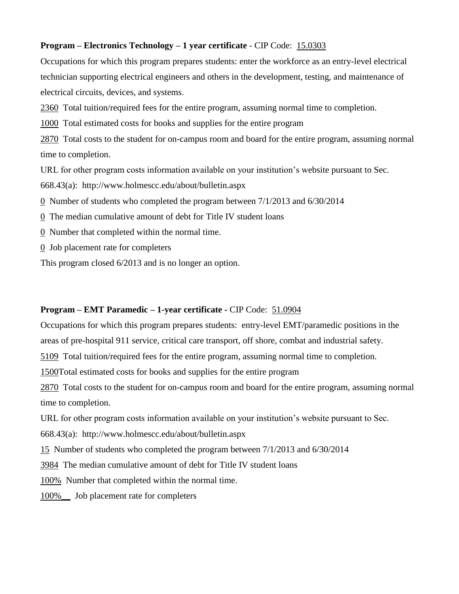### **Program – Electronics Technology – 1 year certificate** - CIP Code: 15.0303

Occupations for which this program prepares students: enter the workforce as an entry-level electrical technician supporting electrical engineers and others in the development, testing, and maintenance of electrical circuits, devices, and systems.

2360 Total tuition/required fees for the entire program, assuming normal time to completion.

1000 Total estimated costs for books and supplies for the entire program

2870 Total costs to the student for on-campus room and board for the entire program, assuming normal time to completion.

URL for other program costs information available on your institution's website pursuant to Sec.

668.43(a): <http://www.holmescc.edu/about/bulletin.aspx>

0 Number of students who completed the program between 7/1/2013 and 6/30/2014

0 The median cumulative amount of debt for Title IV student loans

0 Number that completed within the normal time.

0 Job placement rate for completers

This program closed 6/2013 and is no longer an option.

### **Program – EMT Paramedic – 1-year certificate -** CIP Code: 51.0904

Occupations for which this program prepares students: entry-level EMT/paramedic positions in the

areas of pre-hospital 911 service, critical care transport, off shore, combat and industrial safety.

5109 Total tuition/required fees for the entire program, assuming normal time to completion.

1500Total estimated costs for books and supplies for the entire program

2870 Total costs to the student for on-campus room and board for the entire program, assuming normal time to completion.

URL for other program costs information available on your institution's website pursuant to Sec.

668.43(a): <http://www.holmescc.edu/about/bulletin.aspx>

15 Number of students who completed the program between 7/1/2013 and 6/30/2014

3984 The median cumulative amount of debt for Title IV student loans

100% Number that completed within the normal time.

100%\_\_ Job placement rate for completers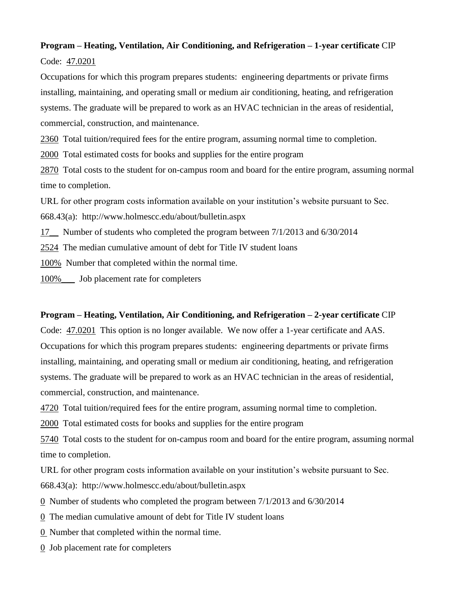# **Program – Heating, Ventilation, Air Conditioning, and Refrigeration – 1-year certificate** CIP Code: 47.0201

Occupations for which this program prepares students: engineering departments or private firms installing, maintaining, and operating small or medium air conditioning, heating, and refrigeration systems. The graduate will be prepared to work as an HVAC technician in the areas of residential, commercial, construction, and maintenance.

2360 Total tuition/required fees for the entire program, assuming normal time to completion.

2000 Total estimated costs for books and supplies for the entire program

2870 Total costs to the student for on-campus room and board for the entire program, assuming normal time to completion.

URL for other program costs information available on your institution's website pursuant to Sec.

668.43(a): <http://www.holmescc.edu/about/bulletin.aspx>

17\_\_ Number of students who completed the program between 7/1/2013 and 6/30/2014

2524 The median cumulative amount of debt for Title IV student loans

100% Number that completed within the normal time.

100%\_\_\_ Job placement rate for completers

## **Program – Heating, Ventilation, Air Conditioning, and Refrigeration – 2-year certificate** CIP

Code: 47.0201 This option is no longer available. We now offer a 1-year certificate and AAS. Occupations for which this program prepares students: engineering departments or private firms installing, maintaining, and operating small or medium air conditioning, heating, and refrigeration systems. The graduate will be prepared to work as an HVAC technician in the areas of residential, commercial, construction, and maintenance.

4720 Total tuition/required fees for the entire program, assuming normal time to completion.

2000 Total estimated costs for books and supplies for the entire program

5740 Total costs to the student for on-campus room and board for the entire program, assuming normal time to completion.

URL for other program costs information available on your institution's website pursuant to Sec.

668.43(a): <http://www.holmescc.edu/about/bulletin.aspx>

- 0 Number of students who completed the program between 7/1/2013 and 6/30/2014
- 0 The median cumulative amount of debt for Title IV student loans
- 0 Number that completed within the normal time.
- $\overline{0}$  Job placement rate for completers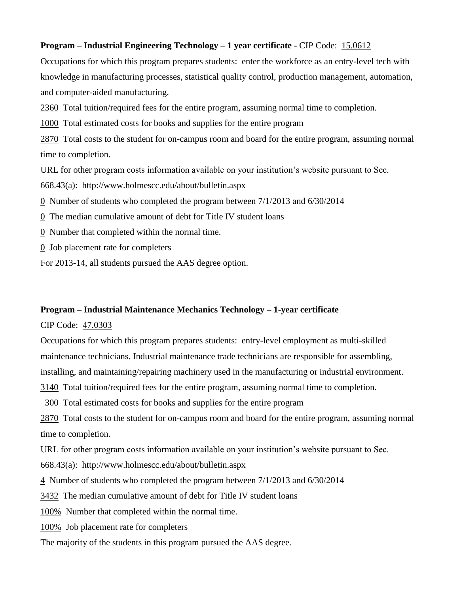### **Program – Industrial Engineering Technology – 1 year certificate** - CIP Code: 15.0612

Occupations for which this program prepares students: enter the workforce as an entry-level tech with knowledge in manufacturing processes, statistical quality control, production management, automation, and computer-aided manufacturing.

2360 Total tuition/required fees for the entire program, assuming normal time to completion.

1000 Total estimated costs for books and supplies for the entire program

2870 Total costs to the student for on-campus room and board for the entire program, assuming normal time to completion.

URL for other program costs information available on your institution's website pursuant to Sec.

668.43(a): <http://www.holmescc.edu/about/bulletin.aspx>

0 Number of students who completed the program between 7/1/2013 and 6/30/2014

0 The median cumulative amount of debt for Title IV student loans

0 Number that completed within the normal time.

0 Job placement rate for completers

For 2013-14, all students pursued the AAS degree option.

### **Program – Industrial Maintenance Mechanics Technology – 1-year certificate**

CIP Code: 47.0303

Occupations for which this program prepares students: entry-level employment as multi-skilled maintenance technicians. Industrial maintenance trade technicians are responsible for assembling, installing, and maintaining/repairing machinery used in the manufacturing or industrial environment.

3140 Total tuition/required fees for the entire program, assuming normal time to completion.

300 Total estimated costs for books and supplies for the entire program

2870 Total costs to the student for on-campus room and board for the entire program, assuming normal time to completion.

URL for other program costs information available on your institution's website pursuant to Sec.

668.43(a): <http://www.holmescc.edu/about/bulletin.aspx>

4 Number of students who completed the program between 7/1/2013 and 6/30/2014

3432 The median cumulative amount of debt for Title IV student loans

100% Number that completed within the normal time.

100% Job placement rate for completers

The majority of the students in this program pursued the AAS degree.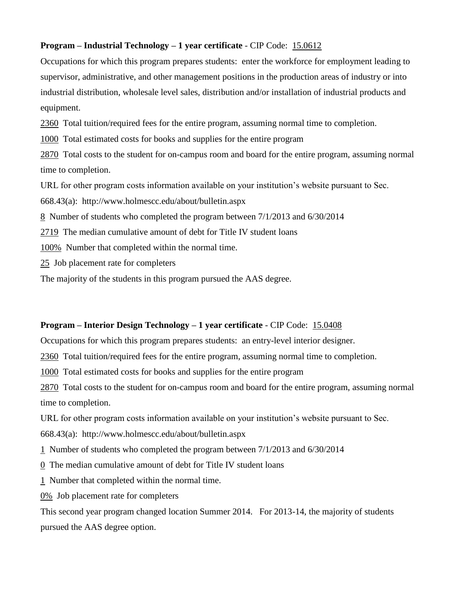### **Program – Industrial Technology – 1 year certificate** - CIP Code: 15.0612

Occupations for which this program prepares students: enter the workforce for employment leading to supervisor, administrative, and other management positions in the production areas of industry or into industrial distribution, wholesale level sales, distribution and/or installation of industrial products and equipment.

2360 Total tuition/required fees for the entire program, assuming normal time to completion.

1000 Total estimated costs for books and supplies for the entire program

2870 Total costs to the student for on-campus room and board for the entire program, assuming normal time to completion.

URL for other program costs information available on your institution's website pursuant to Sec.

668.43(a): <http://www.holmescc.edu/about/bulletin.aspx>

8 Number of students who completed the program between 7/1/2013 and 6/30/2014

2719 The median cumulative amount of debt for Title IV student loans

100% Number that completed within the normal time.

25 Job placement rate for completers

The majority of the students in this program pursued the AAS degree.

## **Program – Interior Design Technology – 1 year certificate** - CIP Code: 15.0408

Occupations for which this program prepares students: an entry-level interior designer.

2360 Total tuition/required fees for the entire program, assuming normal time to completion.

1000 Total estimated costs for books and supplies for the entire program

2870 Total costs to the student for on-campus room and board for the entire program, assuming normal time to completion.

URL for other program costs information available on your institution's website pursuant to Sec.

668.43(a): <http://www.holmescc.edu/about/bulletin.aspx>

1 Number of students who completed the program between 7/1/2013 and 6/30/2014

0 The median cumulative amount of debt for Title IV student loans

1 Number that completed within the normal time.

0% Job placement rate for completers

This second year program changed location Summer 2014. For 2013-14, the majority of students pursued the AAS degree option.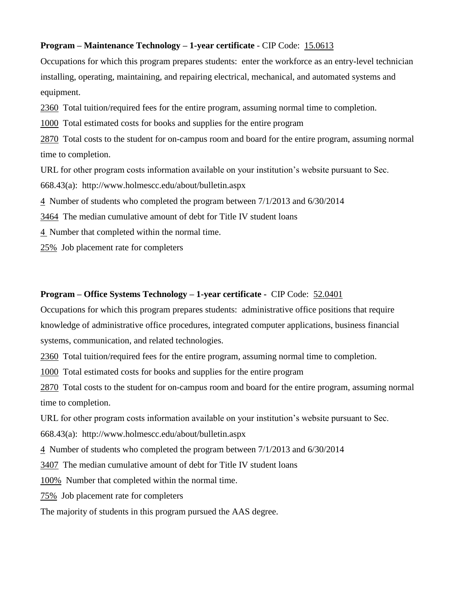### **Program – Maintenance Technology – 1-year certificate** - CIP Code: 15.0613

Occupations for which this program prepares students: enter the workforce as an entry-level technician installing, operating, maintaining, and repairing electrical, mechanical, and automated systems and equipment.

2360 Total tuition/required fees for the entire program, assuming normal time to completion.

1000 Total estimated costs for books and supplies for the entire program

2870 Total costs to the student for on-campus room and board for the entire program, assuming normal time to completion.

URL for other program costs information available on your institution's website pursuant to Sec.

668.43(a): <http://www.holmescc.edu/about/bulletin.aspx>

4 Number of students who completed the program between 7/1/2013 and 6/30/2014

3464 The median cumulative amount of debt for Title IV student loans

4 Number that completed within the normal time.

25% Job placement rate for completers

### **Program – Office Systems Technology – 1-year certificate -** CIP Code: 52.0401

Occupations for which this program prepares students: administrative office positions that require knowledge of administrative office procedures, integrated computer applications, business financial systems, communication, and related technologies.

2360 Total tuition/required fees for the entire program, assuming normal time to completion.

1000 Total estimated costs for books and supplies for the entire program

2870 Total costs to the student for on-campus room and board for the entire program, assuming normal time to completion.

URL for other program costs information available on your institution's website pursuant to Sec.

668.43(a): <http://www.holmescc.edu/about/bulletin.aspx>

4 Number of students who completed the program between 7/1/2013 and 6/30/2014

3407 The median cumulative amount of debt for Title IV student loans

100% Number that completed within the normal time.

75% Job placement rate for completers

The majority of students in this program pursued the AAS degree.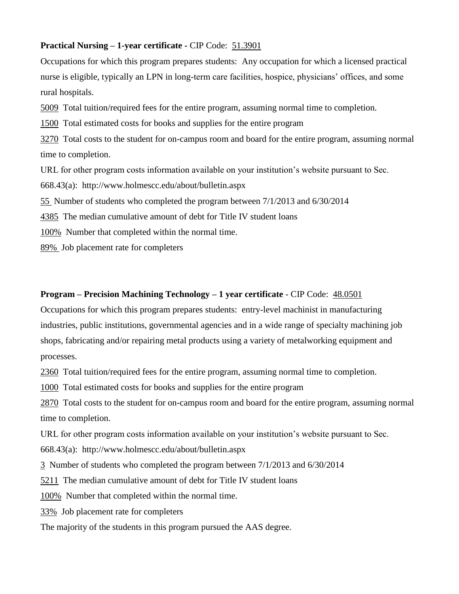#### **Practical Nursing – 1-year certificate -** CIP Code: 51.3901

Occupations for which this program prepares students: Any occupation for which a licensed practical nurse is eligible, typically an LPN in long-term care facilities, hospice, physicians' offices, and some rural hospitals.

5009 Total tuition/required fees for the entire program, assuming normal time to completion.

1500 Total estimated costs for books and supplies for the entire program

3270 Total costs to the student for on-campus room and board for the entire program, assuming normal time to completion.

URL for other program costs information available on your institution's website pursuant to Sec.

668.43(a): <http://www.holmescc.edu/about/bulletin.aspx>

55 Number of students who completed the program between 7/1/2013 and 6/30/2014

4385 The median cumulative amount of debt for Title IV student loans

100% Number that completed within the normal time.

89% Job placement rate for completers

### **Program – Precision Machining Technology – 1 year certificate** - CIP Code: 48.0501

Occupations for which this program prepares students: entry-level machinist in manufacturing industries, public institutions, governmental agencies and in a wide range of specialty machining job shops, fabricating and/or repairing metal products using a variety of metalworking equipment and processes.

2360 Total tuition/required fees for the entire program, assuming normal time to completion.

1000 Total estimated costs for books and supplies for the entire program

2870 Total costs to the student for on-campus room and board for the entire program, assuming normal time to completion.

URL for other program costs information available on your institution's website pursuant to Sec.

668.43(a): <http://www.holmescc.edu/about/bulletin.aspx>

3 Number of students who completed the program between 7/1/2013 and 6/30/2014

5211 The median cumulative amount of debt for Title IV student loans

100% Number that completed within the normal time.

33% Job placement rate for completers

The majority of the students in this program pursued the AAS degree.